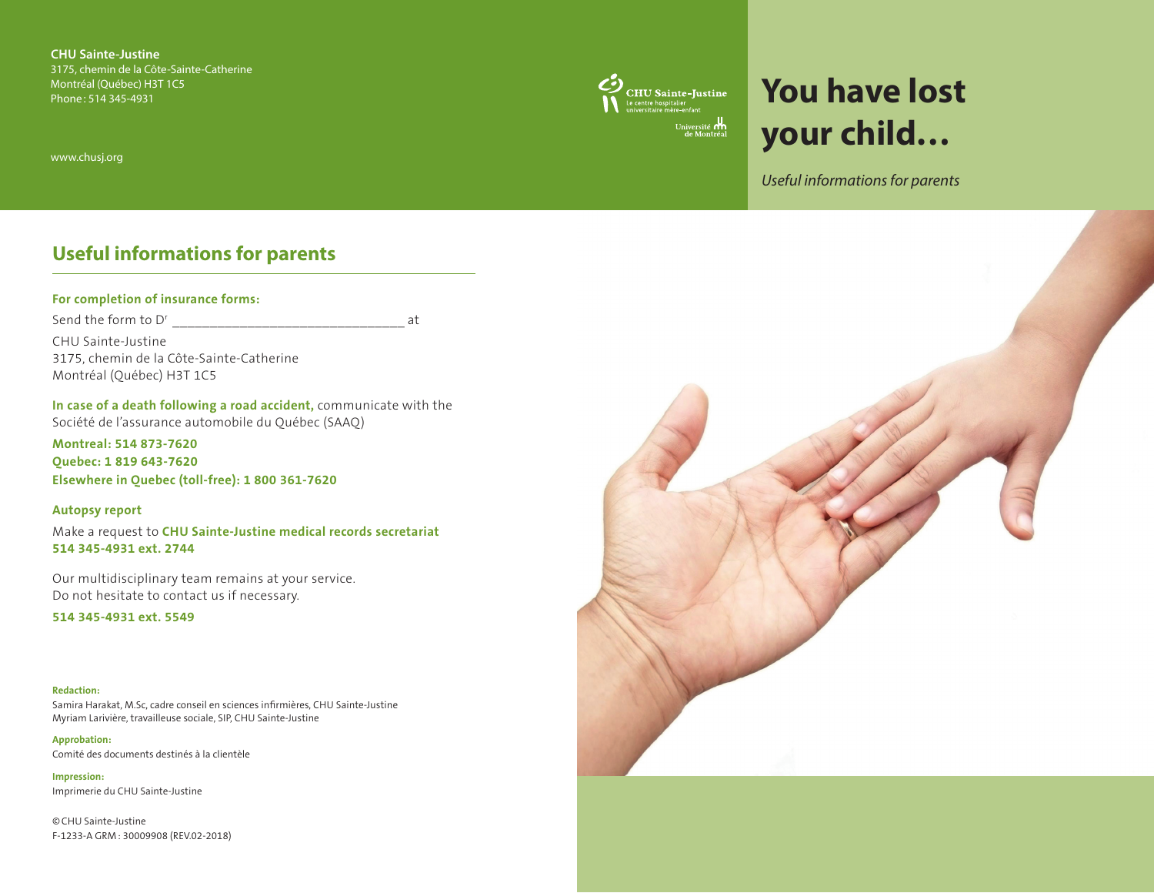**CHU Sainte-Justine** 3175, chemin de la Côte-Sainte-Catherine Montréal (Québec) H3T 1C5 Phone: 514 345-4931

www.chusj.org

# **CHU Sainte-Justine**<br>Le centre hospitalier<br>universitaire mère-enfant Université **om**

# **You have lost your child…**

*Useful informations for parents*

# **Useful informations for parents**

### **For completion of insurance forms:**

Send the form to D<sup>r</sup> at CHU Sainte-Justine 3175, chemin de la Côte-Sainte-Catherine Montréal (Québec) H3T 1C5

**In case of a death following a road accident,** communicate with the Société de l'assurance automobile du Québec (SAAQ)

**Montreal: 514 873-7620 Quebec: 1 819 643-7620 Elsewhere in Quebec (toll-free): 1 800 361-7620** 

**Autopsy report** 

Make a request to **CHU Sainte-Justine medical records secretariat 514 345-4931 ext. 2744**

Our multidisciplinary team remains at your service. Do not hesitate to contact us if necessary.

**514 345-4931 ext. 5549**

#### **Redaction:**

Samira Harakat, M.Sc, cadre conseil en sciences infirmières, CHU Sainte-Justine Myriam Larivière, travailleuse sociale, SIP, CHU Sainte-Justine

**Approbation:** Comité des documents destinés à la clientèle

**Impression:**  Imprimerie du CHU Sainte-Justine

©CHU Sainte-Justine F-1233-A GRM: 30009908 (REV.02-2018)